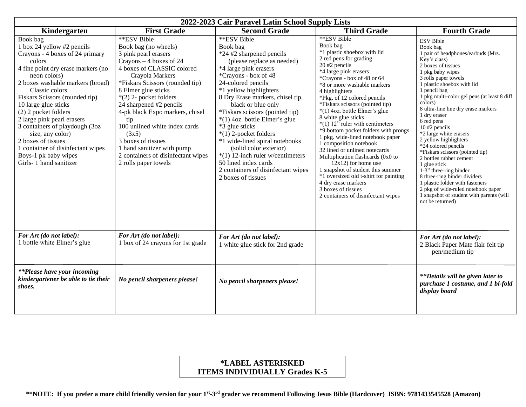| 2022-2023 Cair Paravel Latin School Supply Lists                                                                                                                                                                                                                                                                                                                                                                                                                                   |                                                                                                                                                                                                                                                                                                                                                                                                                                                                  |                                                                                                                                                                                                                                                                                                                                                                                                                                                                                                                                                       |                                                                                                                                                                                                                                                                                                                                                                                                                                                                                                                                                                                                                                                                                                                                                    |                                                                                                                                                                                                                                                                                                                                                                                                                                                                                                                                                                                                                                                                                                                  |  |  |  |
|------------------------------------------------------------------------------------------------------------------------------------------------------------------------------------------------------------------------------------------------------------------------------------------------------------------------------------------------------------------------------------------------------------------------------------------------------------------------------------|------------------------------------------------------------------------------------------------------------------------------------------------------------------------------------------------------------------------------------------------------------------------------------------------------------------------------------------------------------------------------------------------------------------------------------------------------------------|-------------------------------------------------------------------------------------------------------------------------------------------------------------------------------------------------------------------------------------------------------------------------------------------------------------------------------------------------------------------------------------------------------------------------------------------------------------------------------------------------------------------------------------------------------|----------------------------------------------------------------------------------------------------------------------------------------------------------------------------------------------------------------------------------------------------------------------------------------------------------------------------------------------------------------------------------------------------------------------------------------------------------------------------------------------------------------------------------------------------------------------------------------------------------------------------------------------------------------------------------------------------------------------------------------------------|------------------------------------------------------------------------------------------------------------------------------------------------------------------------------------------------------------------------------------------------------------------------------------------------------------------------------------------------------------------------------------------------------------------------------------------------------------------------------------------------------------------------------------------------------------------------------------------------------------------------------------------------------------------------------------------------------------------|--|--|--|
| Kindergarten                                                                                                                                                                                                                                                                                                                                                                                                                                                                       | <b>First Grade</b>                                                                                                                                                                                                                                                                                                                                                                                                                                               | <b>Second Grade</b>                                                                                                                                                                                                                                                                                                                                                                                                                                                                                                                                   | <b>Third Grade</b>                                                                                                                                                                                                                                                                                                                                                                                                                                                                                                                                                                                                                                                                                                                                 | <b>Fourth Grade</b>                                                                                                                                                                                                                                                                                                                                                                                                                                                                                                                                                                                                                                                                                              |  |  |  |
| Book bag<br>1 box 24 yellow #2 pencils<br>Crayons - 4 boxes of 24 primary<br>colors<br>4 fine point dry erase markers (no<br>neon colors)<br>2 boxes washable markers (broad)<br>Classic colors<br>Fiskars Scissors (rounded tip)<br>10 large glue sticks<br>(2) 2 pocket folders<br>2 large pink pearl erasers<br>3 containers of playdough (3oz<br>size, any color)<br>2 boxes of tissues<br>1 container of disinfectant wipes<br>Boys-1 pk baby wipes<br>Girls-1 hand sanitizer | **ESV Bible<br>Book bag (no wheels)<br>3 pink pearl erasers<br>$Crayons - 4 boxes of 24$<br>4 boxes of CLASSIC colored<br>Crayola Markers<br>*Fiskars Scissors (rounded tip)<br>8 Elmer glue sticks<br>$*(2)$ 2- pocket folders<br>24 sharpened #2 pencils<br>4-pk black Expo markers, chisel<br>tip<br>100 unlined white index cards<br>(3x5)<br>3 boxes of tissues<br>1 hand sanitizer with pump<br>2 containers of disinfectant wipes<br>2 rolls paper towels | **ESV Bible<br>Book bag<br>*24 #2 sharpened pencils<br>(please replace as needed)<br>*4 large pink erasers<br>*Crayons - box of 48<br>24-colored pencils<br>*1 yellow highlighters<br>8 Dry Erase markers, chisel tip,<br>black or blue only<br>*Fiskars scissors (pointed tip)<br>$*(1)$ 4oz. bottle Elmer's glue<br>*3 glue sticks<br>$*(1)$ 2-pocket folders<br>*1 wide-lined spiral notebooks<br>(solid color exterior)<br>$*(1)$ 12-inch ruler w/centimeters<br>50 lined index cards<br>2 containers of disinfectant wipes<br>2 boxes of tissues | **ESV Bible<br>Book bag<br>*1 plastic shoebox with lid<br>2 red pens for grading<br>$20 \#2$ pencils<br>*4 large pink erasers<br>*Crayons - box of 48 or 64<br>*8 or more washable markers<br>4 highlighters<br>*Pkg. of 12 colored pencils<br>*Fiskars scissors (pointed tip)<br>*(1) 4oz. bottle Elmer's glue<br>8 white glue sticks<br>$*(1)$ 12" ruler with centimeters<br>*9 bottom pocket folders with prongs<br>1 pkg. wide-lined notebook paper<br>1 composition notebook<br>32 lined or unlined notecards<br>Multiplication flashcards (0x0 to<br>$12x12$ ) for home use<br>1 snapshot of student this summer<br>*1 oversized old t-shirt for painting<br>4 dry erase markers<br>3 boxes of tissues<br>2 containers of disinfectant wipes | <b>ESV</b> Bible<br>Book bag<br>1 pair of headphones/earbuds (Mrs.<br>Key's class)<br>2 boxes of tissues<br>1 pkg baby wipes<br>3 rolls paper towels<br>1 plastic shoebox with lid<br>1 pencil bag<br>1 pkg multi-color gel pens (at least 8 diff<br>colors)<br>8 ultra-fine line dry erase markers<br>1 dry eraser<br>6 red pens<br>10 #2 pencils<br>*2 large white erasers<br>2 yellow highlighters<br>*24 colored pencils<br>*Fiskars scissors (pointed tip)<br>2 bottles rubber cement<br>1 glue stick<br>$1-3$ " three-ring binder<br>8 three-ring binder dividers<br>1 plastic folder with fasteners<br>2 pkg of wide-ruled notebook paper<br>1 snapshot of student with parents (will<br>not be returned) |  |  |  |
| For Art (do not label):<br>1 bottle white Elmer's glue                                                                                                                                                                                                                                                                                                                                                                                                                             | For Art (do not label):<br>1 box of 24 crayons for 1st grade                                                                                                                                                                                                                                                                                                                                                                                                     | For Art (do not label):<br>1 white glue stick for 2nd grade                                                                                                                                                                                                                                                                                                                                                                                                                                                                                           |                                                                                                                                                                                                                                                                                                                                                                                                                                                                                                                                                                                                                                                                                                                                                    | For Art (do not label):<br>2 Black Paper Mate flair felt tip<br>pen/medium tip                                                                                                                                                                                                                                                                                                                                                                                                                                                                                                                                                                                                                                   |  |  |  |
| <i>**Please have your incoming</i><br>kindergartener be able to tie their<br>shoes.                                                                                                                                                                                                                                                                                                                                                                                                | No pencil sharpeners please!                                                                                                                                                                                                                                                                                                                                                                                                                                     | No pencil sharpeners please!                                                                                                                                                                                                                                                                                                                                                                                                                                                                                                                          |                                                                                                                                                                                                                                                                                                                                                                                                                                                                                                                                                                                                                                                                                                                                                    | <i>**Details will be given later to</i><br>purchase 1 costume, and 1 bi-fold<br>display board                                                                                                                                                                                                                                                                                                                                                                                                                                                                                                                                                                                                                    |  |  |  |

## **\*LABEL ASTERISKED ITEMS INDIVIDUALLY Grades K-5**

 **\*\*NOTE: If you prefer a more child friendly version for your 1st -3 rd grader we recommend Following Jesus Bible (Hardcover) ISBN: 9781433545528 (Amazon)**